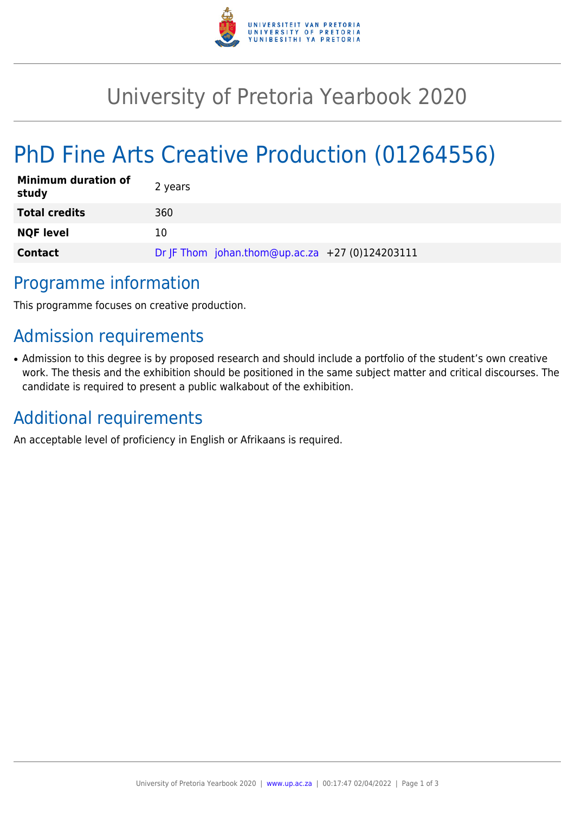

## University of Pretoria Yearbook 2020

# PhD Fine Arts Creative Production (01264556)

| <b>Minimum duration of</b><br>study | 2 years                                         |
|-------------------------------------|-------------------------------------------------|
| <b>Total credits</b>                | 360                                             |
| <b>NQF level</b>                    | 10                                              |
| <b>Contact</b>                      | Dr JF Thom johan.thom@up.ac.za +27 (0)124203111 |

#### Programme information

This programme focuses on creative production.

## Admission requirements

• Admission to this degree is by proposed research and should include a portfolio of the student's own creative work. The thesis and the exhibition should be positioned in the same subject matter and critical discourses. The candidate is required to present a public walkabout of the exhibition.

#### Additional requirements

An acceptable level of proficiency in English or Afrikaans is required.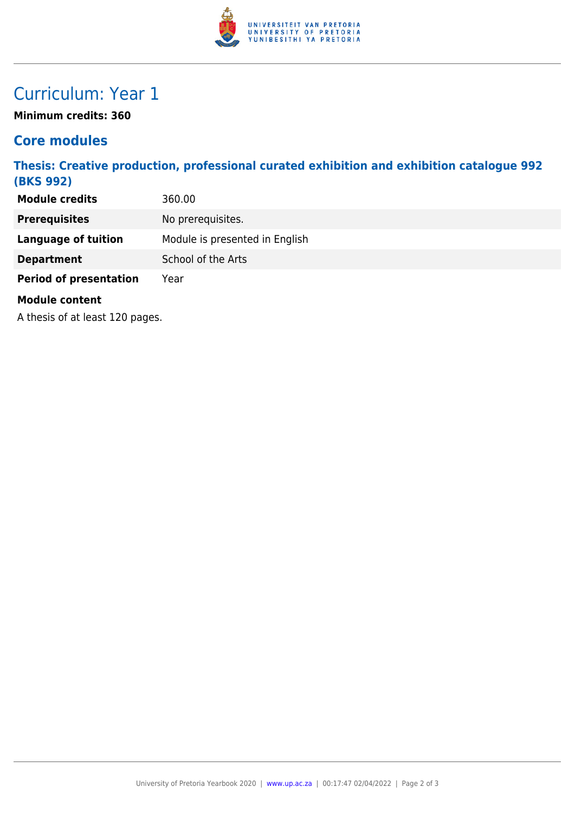

### Curriculum: Year 1

**Minimum credits: 360**

#### **Core modules**

**Thesis: Creative production, professional curated exhibition and exhibition catalogue 992 (BKS 992)**

| <b>Module credits</b>           | 360.00                         |
|---------------------------------|--------------------------------|
| <b>Prerequisites</b>            | No prerequisites.              |
| <b>Language of tuition</b>      | Module is presented in English |
| <b>Department</b>               | School of the Arts             |
| <b>Period of presentation</b>   | Year                           |
| <b>Module content</b>           |                                |
| A thesis of at least 120 pages. |                                |
|                                 |                                |